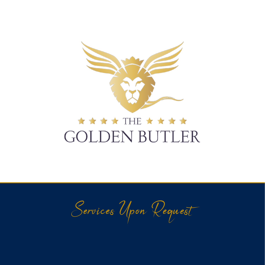

## \* \* \* \* THE \* \* \* \* **GOLDEN BUTLER**

Services Upon Request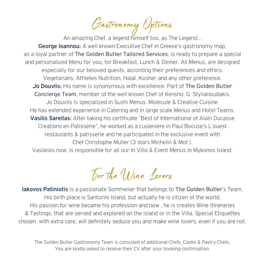Gastronomy Options

An amazing Chef, a legend himself too, as The Legend…

George Ioannou: Α well known Executive Chef in Greece's gastronomy map, as a loyal partner of The Golden Butler Tailored Services, is ready to prepare a special and personalized Menu for you, for Breakfast, Lunch & Dinner. All Menus, are designed especially for our beloved guests, according their preferences and ethics: Vegetarians, Athletes Nutrition, Halal, Kosher and any other preference. Jo Douvlis: His name is synonymous with excellence. Part of The Golden Butler Concierge Team, member of the well known Chef of *Kensho*, G. Stylianoudakis. Jo Douvlis is specialized in Sushi Menus, Molecule & Creative Cuisine. He has extended experience in Catering and in large scale Menus and Hotel Teams. Vasilis Sarellas: After taking his certificate "Best of International of Alain Ducasse Creations en Patisserie", he worked as a cusieniere in Paul Bocuse's L'ouest restaurants & patisserie and he participated in the exclusive event with Chef Christophe Muller (3 stars Michelin & Mof.).

Vasileios now, is responsible for all our In Villa & Event Menus in Mykonos Island.

For the *Uline Lovers* 

Iakovos Patiniotis is a passionate Sommelier that belongs to The Golden Butler's Team. His birth place is Santorini Island, but actually he is citizen of the world. His passion for wine became his profession and now , he is creates Wine Itineraries & Tastings, that are served and explored on the island or in the Villa. Special Etiquettes chosen with extra care, will definitely seduce you and make wine lovers, even if you are not.

The Golden Butler Gastronomy Team is consisted of additional Chefs, Cooks & Pastry Chefs. You are kindly asked to receive their CV after your booking confirmation.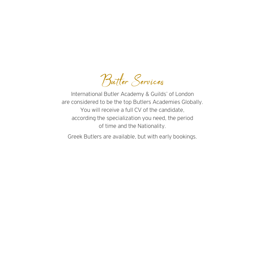Butler Services

International Butler Academy & Guilds' of London are considered to be the top Butlers Academies Globally. You will receive a full CV of the candidate, according the specialization you need, the period of time and the Nationality.

Greek Butlers are available, but with early bookings.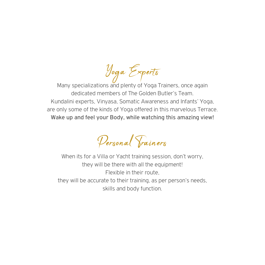Yoga Experts

Many specializations and plenty of Yoga Trainers, once again dedicated members of The Golden Butler's Team. Kundalini experts, Vinyasa, Somatic Awareness and Infants' Yoga, are only some of the kinds of Yoga offered in this marvelous Terrace. Wake up and feel your Body, while watching this amazing view!

Personal Trainers

When its for a Villa or Yacht training session, don't worry, they will be there with all the equipment! Flexible in their route, they will be accurate to their training, as per person's needs, skills and body function.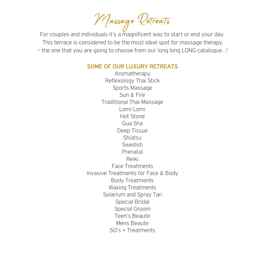Massage Retreats

For couples and individuals it's a magnificent way to start or end your day. This terrace is considered to be the most ideal spot for massage therapy – the one that you are going to choose from our long long LONG catalogue…!

## SOME OF OUR LUXURY RETREATS

Aromatherapy Reflexology Thai Stick Sports Massage Sun & Fire Traditional Thai Massage Lomi Lomi Hot Stone Gua Sha Deep Tissue Shiatsu Swedish Prenatal Reiki Face Treatments Invasive Treatments for Face & Body Body Treatments Waxing Treatments Solarium and Spray Tan Special Bridal Special Groom Teen's Beaute Mens Beaute 50's + Treatments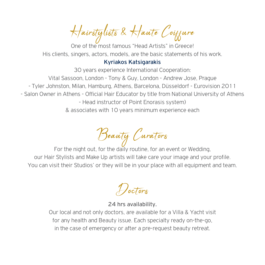Hairstylists & Haute Coiffure

One of the most famous "Head Artists" in Greece! His clients, singers, actors, models, are the basic statements of his work.

## Kyriakos Katsigarakis

30 years experience International Cooperation: Vital Sassoon, London - Tony & Guy, London - Andrew Jose, Prague - Tyler Johnston, Milan, Hamburg, Athens, Barcelona, Düsseldorf - Eurovision 2011 - Salon Owner in Athens - Official Hair Educator by title from National University of Athens - Head instructor of Point Enorasis system) & associates with 10 years minimum experience each

Beauty Curators

For the night out, for the daily routine, for an event or Wedding, our Hair Stylists and Make Up artists will take care your image and your profile. You can visit their Studios' or they will be in your place with all equipment and team.

*Hoctors* 

24 hrs availability.

Our local and not only doctors, are available for a Villa & Yacht visit for any health and Beauty issue. Each specialty ready on-the-go, in the case of emergency or after a pre-request beauty retreat.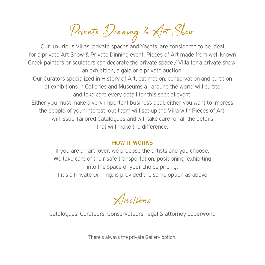Private Dinning & Art Show

Our luxurious Villas, private spaces and Yachts, are considered to be ideal for a private Art Show & Private Dinning event. Pieces of Art made from well known Greek painters or sculptors can decorate the private space / Villa for a private show, an exhibition, a gala or a private auction.

Our Curators specialized in History of Art, estimation, conservation and curation of exhibitions in Galleries and Museums all around the world will curate and take care every detail for this special event.

Either you must make a very important business deal, either you want to impress the people of your interest, out team will set up the Villa with Pieces of Art, will issue Tailored Catalogues and will take care for all the details that will make the difference.

## HOW IT WORKS

If you are an art lover, we propose the artists and you choose. We take care of their safe transportation, positioning, exhibiting into the space of your choice pricing. If it's a Private Dinning, is provided the same option as above.

Auctions

Catalogues, Curateurs, Conservateurs, legal & attorney paperwork.

There's always the private Gallery option.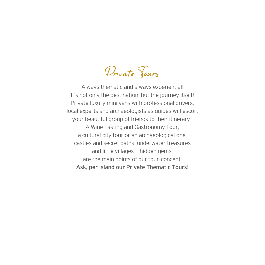Private *Yours* 

Always thematic and always experiential! It's not only the destination, but the journey itself! Private luxury mini vans with professional drivers, local experts and archaeologists as guides will escort your beautiful group of friends to their itinerary : A Wine Tasting and Gastronomy Tour, a cultural city tour or an archaeological one, castles and secret paths, underwater treasures and little villages – hidden gems, are the main points of our tour-concept. Ask, per island our Private Thematic Tours!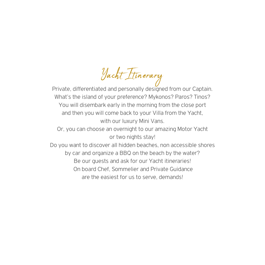Yacht Itinerary

Private, differentiated and personally designed from our Captain. What's the island of your preference? Mykonos? Paros? Tinos? You will disembark early in the morning from the close port and then you will come back to your Villa from the Yacht, with our luxury Mini Vans.

Or, you can choose an overnight to our amazing Motor Yacht or two nights stay!

Do you want to discover all hidden beaches, non accessible shores by car and organize a BBQ on the beach by the water? Be our guests and ask for our Yacht itineraries! On board Chef, Sommelier and Private Guidance are the easiest for us to serve, demands!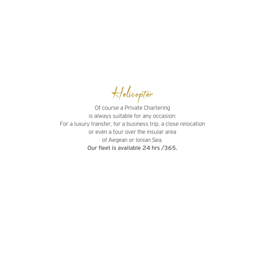Helicopter

Of course a Private Chartering is always suitable for any occasion: For a luxury transfer, for a business trip, a close relocation or even a tour over the insular area of Aegean or Ionian Sea. Our fleet is available 24 hrs /365.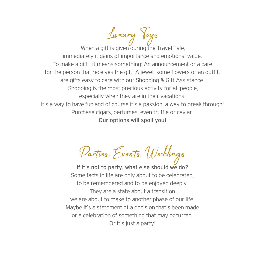Luxury Toys When a gift is given during the Travel Tale. immediately it gains of importance and emotional value. To make a gift , it means something: An announcement or a care for the person that receives the gift. A jewel, some flowers or an outfit, are gifts easy to care with our Shopping & Gift Assistance. Shopping is the most precious activity for all people, especially when they are in their vacations! It's a way to have fun and of course it's a passion, a way to break through! Purchase cigars, perfumes, even truffle or caviar. Our options will spoil you!

Parties, Events, Weddings

If it's not to party, what else should we do? Some facts in life are only about to be celebrated, to be remembered and to be enjoyed deeply. They are a state about a transition we are about to make to another phase of our life. Maybe it's a statement of a decision that's been made or a celebration of something that may occurred. Or it's just a party!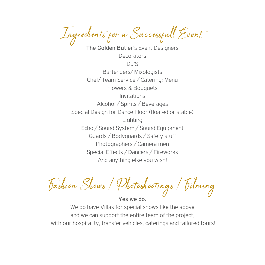Ingredients for a Successfull Event

The Golden Butler's Event Designers **Decorators** DJ'S Bartenders/ Mixologists Chef/ Team Service / Catering: Menu Flowers & Bouquets Invitations Alcohol / Spirits / Beverages Special Design for Dance Floor (floated or stable) **Lighting** Echo / Sound System / Sound Equipment Guards / Bodyguards / Safety stuff Photographers / Camera men Special Effects / Dancers / Fireworks And anything else you wish!

Fashion Shows / Photoshootings / Filming

Yes we do.

We do have Villas for special shows like the above and we can support the entire team of the project, with our hospitality, transfer vehicles, caterings and tailored tours!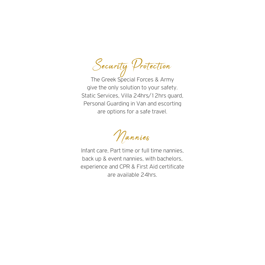Security Protection

The Greek Special Forces & Army give the only solution to your safety. Static Services, Villa 24hrs/12hrs guard, Personal Guarding in Van and escorting are options for a safe travel.

Nannies

Infant care, Part time or full time nannies, back up & event nannies, with bachelors, experience and CPR & First Aid certificate are available 24hrs.